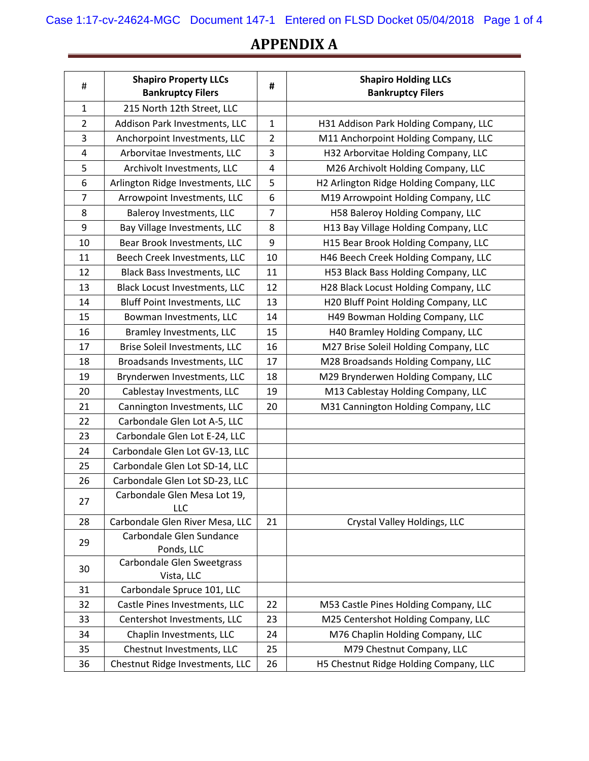## **APPENDIX A**

| #              | <b>Shapiro Property LLCs</b><br><b>Bankruptcy Filers</b> | #              | <b>Shapiro Holding LLCs</b><br><b>Bankruptcy Filers</b> |
|----------------|----------------------------------------------------------|----------------|---------------------------------------------------------|
| $\mathbf{1}$   | 215 North 12th Street, LLC                               |                |                                                         |
| $\overline{2}$ | Addison Park Investments, LLC                            | $\mathbf{1}$   | H31 Addison Park Holding Company, LLC                   |
| 3              | Anchorpoint Investments, LLC                             | $\overline{2}$ | M11 Anchorpoint Holding Company, LLC                    |
| 4              | Arborvitae Investments, LLC                              | 3              | H32 Arborvitae Holding Company, LLC                     |
| 5              | Archivolt Investments, LLC                               | 4              | M26 Archivolt Holding Company, LLC                      |
| 6              | Arlington Ridge Investments, LLC                         | 5              | H2 Arlington Ridge Holding Company, LLC                 |
| $\overline{7}$ | Arrowpoint Investments, LLC                              | 6              | M19 Arrowpoint Holding Company, LLC                     |
| 8              | Baleroy Investments, LLC                                 | 7              | H58 Baleroy Holding Company, LLC                        |
| 9              | Bay Village Investments, LLC                             | 8              | H13 Bay Village Holding Company, LLC                    |
| 10             | Bear Brook Investments, LLC                              | 9              | H15 Bear Brook Holding Company, LLC                     |
| 11             | Beech Creek Investments, LLC                             | 10             | H46 Beech Creek Holding Company, LLC                    |
| 12             | <b>Black Bass Investments, LLC</b>                       | 11             | H53 Black Bass Holding Company, LLC                     |
| 13             | <b>Black Locust Investments, LLC</b>                     | 12             | H28 Black Locust Holding Company, LLC                   |
| 14             | <b>Bluff Point Investments, LLC</b>                      | 13             | H20 Bluff Point Holding Company, LLC                    |
| 15             | Bowman Investments, LLC                                  | 14             | H49 Bowman Holding Company, LLC                         |
| 16             | Bramley Investments, LLC                                 | 15             | H40 Bramley Holding Company, LLC                        |
| 17             | Brise Soleil Investments, LLC                            | 16             | M27 Brise Soleil Holding Company, LLC                   |
| 18             | Broadsands Investments, LLC                              | 17             | M28 Broadsands Holding Company, LLC                     |
| 19             | Brynderwen Investments, LLC                              | 18             | M29 Brynderwen Holding Company, LLC                     |
| 20             | Cablestay Investments, LLC                               | 19             | M13 Cablestay Holding Company, LLC                      |
| 21             | Cannington Investments, LLC                              | 20             | M31 Cannington Holding Company, LLC                     |
| 22             | Carbondale Glen Lot A-5, LLC                             |                |                                                         |
| 23             | Carbondale Glen Lot E-24, LLC                            |                |                                                         |
| 24             | Carbondale Glen Lot GV-13, LLC                           |                |                                                         |
| 25             | Carbondale Glen Lot SD-14, LLC                           |                |                                                         |
| 26             | Carbondale Glen Lot SD-23, LLC                           |                |                                                         |
| 27             | Carbondale Glen Mesa Lot 19,<br>LLC                      |                |                                                         |
| 28             | Carbondale Glen River Mesa, LLC                          | 21             | Crystal Valley Holdings, LLC                            |
| 29             | Carbondale Glen Sundance<br>Ponds, LLC                   |                |                                                         |
| 30             | Carbondale Glen Sweetgrass<br>Vista, LLC                 |                |                                                         |
| 31             | Carbondale Spruce 101, LLC                               |                |                                                         |
| 32             | Castle Pines Investments, LLC                            | 22             | M53 Castle Pines Holding Company, LLC                   |
| 33             | Centershot Investments, LLC                              | 23             | M25 Centershot Holding Company, LLC                     |
| 34             | Chaplin Investments, LLC                                 | 24             | M76 Chaplin Holding Company, LLC                        |
| 35             | Chestnut Investments, LLC                                | 25             | M79 Chestnut Company, LLC                               |
| 36             | Chestnut Ridge Investments, LLC                          | 26             | H5 Chestnut Ridge Holding Company, LLC                  |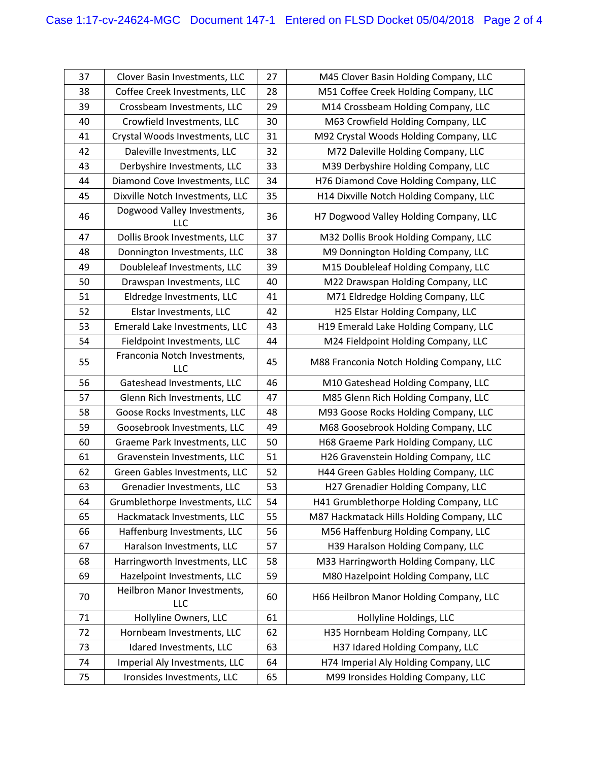| 37 | Clover Basin Investments, LLC             | 27 | M45 Clover Basin Holding Company, LLC     |
|----|-------------------------------------------|----|-------------------------------------------|
| 38 | Coffee Creek Investments, LLC             | 28 | M51 Coffee Creek Holding Company, LLC     |
| 39 | Crossbeam Investments, LLC                | 29 | M14 Crossbeam Holding Company, LLC        |
| 40 | Crowfield Investments, LLC                | 30 | M63 Crowfield Holding Company, LLC        |
| 41 | Crystal Woods Investments, LLC            | 31 | M92 Crystal Woods Holding Company, LLC    |
| 42 | Daleville Investments, LLC                | 32 | M72 Daleville Holding Company, LLC        |
| 43 | Derbyshire Investments, LLC               | 33 | M39 Derbyshire Holding Company, LLC       |
| 44 | Diamond Cove Investments, LLC             | 34 | H76 Diamond Cove Holding Company, LLC     |
| 45 | Dixville Notch Investments, LLC           | 35 | H14 Dixville Notch Holding Company, LLC   |
| 46 | Dogwood Valley Investments,<br><b>LLC</b> | 36 | H7 Dogwood Valley Holding Company, LLC    |
| 47 | Dollis Brook Investments, LLC             | 37 | M32 Dollis Brook Holding Company, LLC     |
| 48 | Donnington Investments, LLC               | 38 | M9 Donnington Holding Company, LLC        |
| 49 | Doubleleaf Investments, LLC               | 39 | M15 Doubleleaf Holding Company, LLC       |
| 50 | Drawspan Investments, LLC                 | 40 | M22 Drawspan Holding Company, LLC         |
| 51 | Eldredge Investments, LLC                 | 41 | M71 Eldredge Holding Company, LLC         |
| 52 | Elstar Investments, LLC                   | 42 | H25 Elstar Holding Company, LLC           |
| 53 | Emerald Lake Investments, LLC             | 43 | H19 Emerald Lake Holding Company, LLC     |
| 54 | Fieldpoint Investments, LLC               | 44 | M24 Fieldpoint Holding Company, LLC       |
| 55 | Franconia Notch Investments,<br>LLC       | 45 | M88 Franconia Notch Holding Company, LLC  |
| 56 | Gateshead Investments, LLC                | 46 | M10 Gateshead Holding Company, LLC        |
| 57 | Glenn Rich Investments, LLC               | 47 | M85 Glenn Rich Holding Company, LLC       |
| 58 | Goose Rocks Investments, LLC              | 48 | M93 Goose Rocks Holding Company, LLC      |
| 59 | Goosebrook Investments, LLC               | 49 | M68 Goosebrook Holding Company, LLC       |
| 60 | Graeme Park Investments, LLC              | 50 | H68 Graeme Park Holding Company, LLC      |
| 61 | Gravenstein Investments, LLC              | 51 | H26 Gravenstein Holding Company, LLC      |
| 62 | Green Gables Investments, LLC             | 52 | H44 Green Gables Holding Company, LLC     |
| 63 | Grenadier Investments, LLC                | 53 | H27 Grenadier Holding Company, LLC        |
| 64 | Grumblethorpe Investments, LLC            | 54 | H41 Grumblethorpe Holding Company, LLC    |
| 65 | Hackmatack Investments, LLC               | 55 | M87 Hackmatack Hills Holding Company, LLC |
| 66 | Haffenburg Investments, LLC               | 56 | M56 Haffenburg Holding Company, LLC       |
| 67 | Haralson Investments, LLC                 | 57 | H39 Haralson Holding Company, LLC         |
| 68 | Harringworth Investments, LLC             | 58 | M33 Harringworth Holding Company, LLC     |
| 69 | Hazelpoint Investments, LLC               | 59 | M80 Hazelpoint Holding Company, LLC       |
| 70 | Heilbron Manor Investments,<br><b>LLC</b> | 60 | H66 Heilbron Manor Holding Company, LLC   |
| 71 | Hollyline Owners, LLC                     | 61 | Hollyline Holdings, LLC                   |
| 72 | Hornbeam Investments, LLC                 | 62 | H35 Hornbeam Holding Company, LLC         |
| 73 | Idared Investments, LLC                   | 63 | H37 Idared Holding Company, LLC           |
| 74 | Imperial Aly Investments, LLC             | 64 | H74 Imperial Aly Holding Company, LLC     |
| 75 | Ironsides Investments, LLC                | 65 | M99 Ironsides Holding Company, LLC        |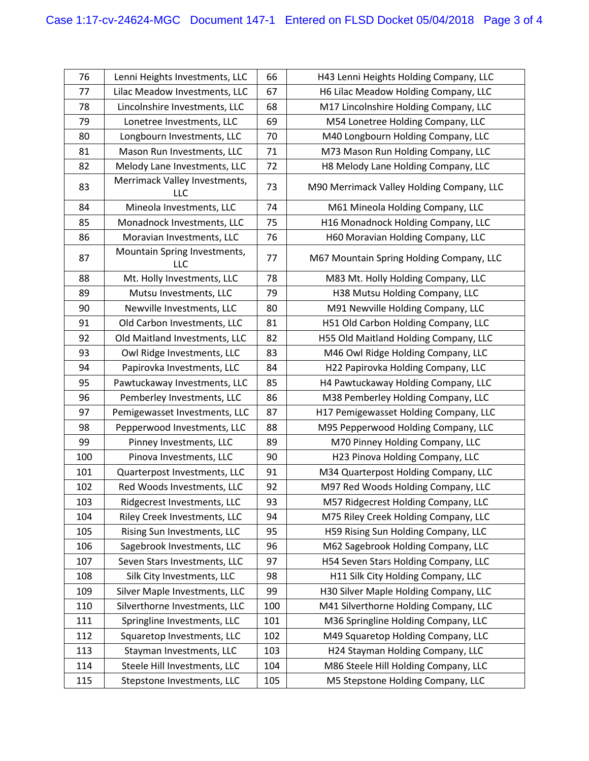| 76  | Lenni Heights Investments, LLC              | 66  | H43 Lenni Heights Holding Company, LLC    |
|-----|---------------------------------------------|-----|-------------------------------------------|
| 77  | Lilac Meadow Investments, LLC               | 67  | H6 Lilac Meadow Holding Company, LLC      |
| 78  | Lincolnshire Investments, LLC               | 68  | M17 Lincolnshire Holding Company, LLC     |
| 79  | Lonetree Investments, LLC                   | 69  | M54 Lonetree Holding Company, LLC         |
| 80  | Longbourn Investments, LLC                  | 70  | M40 Longbourn Holding Company, LLC        |
| 81  | Mason Run Investments, LLC                  | 71  | M73 Mason Run Holding Company, LLC        |
| 82  | Melody Lane Investments, LLC                | 72  | H8 Melody Lane Holding Company, LLC       |
| 83  | Merrimack Valley Investments,<br><b>LLC</b> | 73  | M90 Merrimack Valley Holding Company, LLC |
| 84  | Mineola Investments, LLC                    | 74  | M61 Mineola Holding Company, LLC          |
| 85  | Monadnock Investments, LLC                  | 75  | H16 Monadnock Holding Company, LLC        |
| 86  | Moravian Investments, LLC                   | 76  | H60 Moravian Holding Company, LLC         |
| 87  | Mountain Spring Investments,<br>LLC         | 77  | M67 Mountain Spring Holding Company, LLC  |
| 88  | Mt. Holly Investments, LLC                  | 78  | M83 Mt. Holly Holding Company, LLC        |
| 89  | Mutsu Investments, LLC                      | 79  | H38 Mutsu Holding Company, LLC            |
| 90  | Newville Investments, LLC                   | 80  | M91 Newville Holding Company, LLC         |
| 91  | Old Carbon Investments, LLC                 | 81  | H51 Old Carbon Holding Company, LLC       |
| 92  | Old Maitland Investments, LLC               | 82  | H55 Old Maitland Holding Company, LLC     |
| 93  | Owl Ridge Investments, LLC                  | 83  | M46 Owl Ridge Holding Company, LLC        |
| 94  | Papirovka Investments, LLC                  | 84  | H22 Papirovka Holding Company, LLC        |
| 95  | Pawtuckaway Investments, LLC                | 85  | H4 Pawtuckaway Holding Company, LLC       |
| 96  | Pemberley Investments, LLC                  | 86  | M38 Pemberley Holding Company, LLC        |
| 97  | Pemigewasset Investments, LLC               | 87  | H17 Pemigewasset Holding Company, LLC     |
| 98  | Pepperwood Investments, LLC                 | 88  | M95 Pepperwood Holding Company, LLC       |
| 99  | Pinney Investments, LLC                     | 89  | M70 Pinney Holding Company, LLC           |
| 100 | Pinova Investments, LLC                     | 90  | H23 Pinova Holding Company, LLC           |
| 101 | Quarterpost Investments, LLC                | 91  | M34 Quarterpost Holding Company, LLC      |
| 102 | Red Woods Investments, LLC                  | 92  | M97 Red Woods Holding Company, LLC        |
| 103 | Ridgecrest Investments, LLC                 | 93  | M57 Ridgecrest Holding Company, LLC       |
| 104 | Riley Creek Investments, LLC                | 94  | M75 Riley Creek Holding Company, LLC      |
| 105 | Rising Sun Investments, LLC                 | 95  | H59 Rising Sun Holding Company, LLC       |
| 106 | Sagebrook Investments, LLC                  | 96  | M62 Sagebrook Holding Company, LLC        |
| 107 | Seven Stars Investments, LLC                | 97  | H54 Seven Stars Holding Company, LLC      |
| 108 | Silk City Investments, LLC                  | 98  | H11 Silk City Holding Company, LLC        |
| 109 | Silver Maple Investments, LLC               | 99  | H30 Silver Maple Holding Company, LLC     |
| 110 | Silverthorne Investments, LLC               | 100 | M41 Silverthorne Holding Company, LLC     |
| 111 | Springline Investments, LLC                 | 101 | M36 Springline Holding Company, LLC       |
| 112 | Squaretop Investments, LLC                  | 102 | M49 Squaretop Holding Company, LLC        |
| 113 | Stayman Investments, LLC                    | 103 | H24 Stayman Holding Company, LLC          |
| 114 | Steele Hill Investments, LLC                | 104 | M86 Steele Hill Holding Company, LLC      |
| 115 | Stepstone Investments, LLC                  | 105 | M5 Stepstone Holding Company, LLC         |